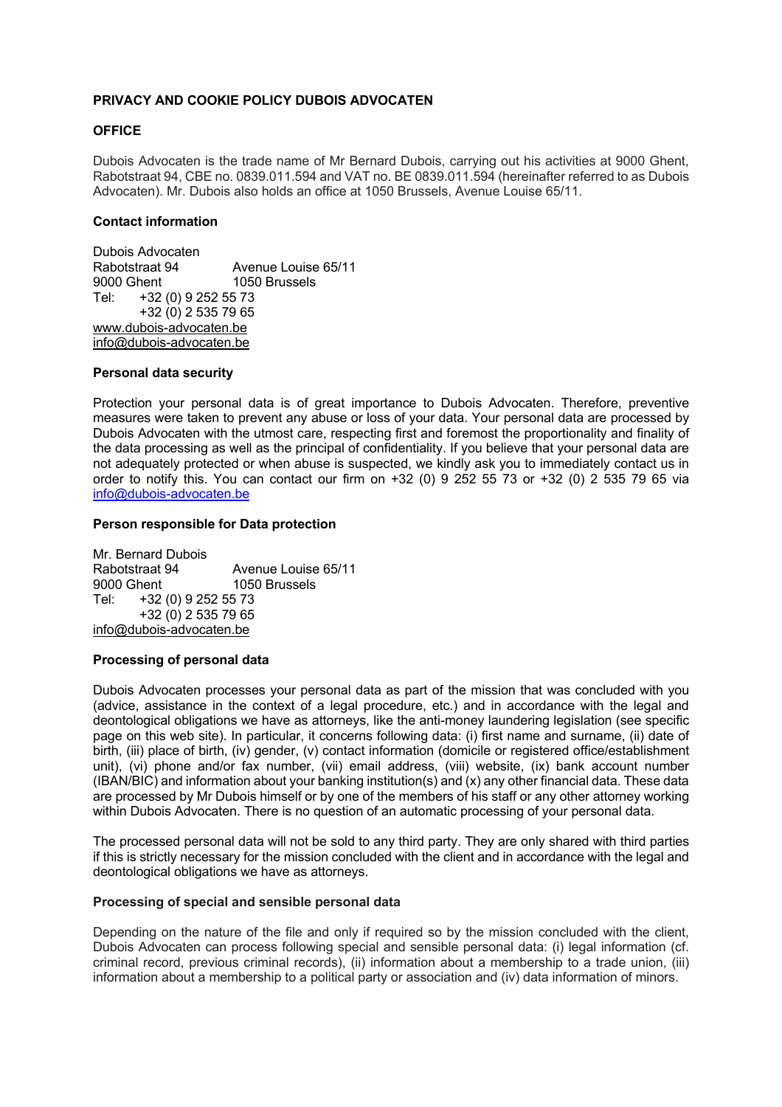# **PRIVACY AND COOKIE POLICY DUBOIS ADVOCATEN**

## **OFFICE**

Dubois Advocaten is the trade name of Mr Bernard Dubois, carrying out his activities at 9000 Ghent, Rabotstraat 94, CBE no. 0839.011.594 and VAT no. BE 0839.011.594 (hereinafter referred to as Dubois Advocaten). Mr. Dubois also holds an office at 1050 Brussels, Avenue Louise 65/11.

## **Contact information**

Dubois Advocaten Rabotstraat 94 Avenue Louise 65/11 1050 Brussels Tel: +32 (0) 9 252 55 73 +32 (0) 2 535 79 65 www.dubois-advocaten.be info@dubois-advocaten.be

## **Personal data security**

Protection your personal data is of great importance to Dubois Advocaten. Therefore, preventive measures were taken to prevent any abuse or loss of your data. Your personal data are processed by Dubois Advocaten with the utmost care, respecting first and foremost the proportionality and finality of the data processing as well as the principal of confidentiality. If you believe that your personal data are not adequately protected or when abuse is suspected, we kindly ask you to immediately contact us in order to notify this. You can contact our firm on +32 (0) 9 252 55 73 or +32 (0) 2 535 79 65 via info@dubois-advocaten.be

## **Person responsible for Data protection**

Mr. Bernard Dubois<br>Rabotstraat 94 Avenue Louise 65/11 9000 Ghent 1050 Brussels Tel: +32 (0) 9 252 55 73 +32 (0) 2 535 79 65 info@dubois-advocaten.be

## **Processing of personal data**

Dubois Advocaten processes your personal data as part of the mission that was concluded with you (advice, assistance in the context of a legal procedure, etc.) and in accordance with the legal and deontological obligations we have as attorneys, like the anti-money laundering legislation (see specific page on this web site). In particular, it concerns following data: (i) first name and surname, (ii) date of birth, (iii) place of birth, (iv) gender, (v) contact information (domicile or registered office/establishment unit), (vi) phone and/or fax number, (vii) email address, (viii) website, (ix) bank account number (IBAN/BIC) and information about your banking institution(s) and (x) any other financial data. These data are processed by Mr Dubois himself or by one of the members of his staff or any other attorney working within Dubois Advocaten. There is no question of an automatic processing of your personal data.

The processed personal data will not be sold to any third party. They are only shared with third parties if this is strictly necessary for the mission concluded with the client and in accordance with the legal and deontological obligations we have as attorneys.

## **Processing of special and sensible personal data**

Depending on the nature of the file and only if required so by the mission concluded with the client, Dubois Advocaten can process following special and sensible personal data: (i) legal information (cf. criminal record, previous criminal records), (ii) information about a membership to a trade union, (iii) information about a membership to a political party or association and (iv) data information of minors.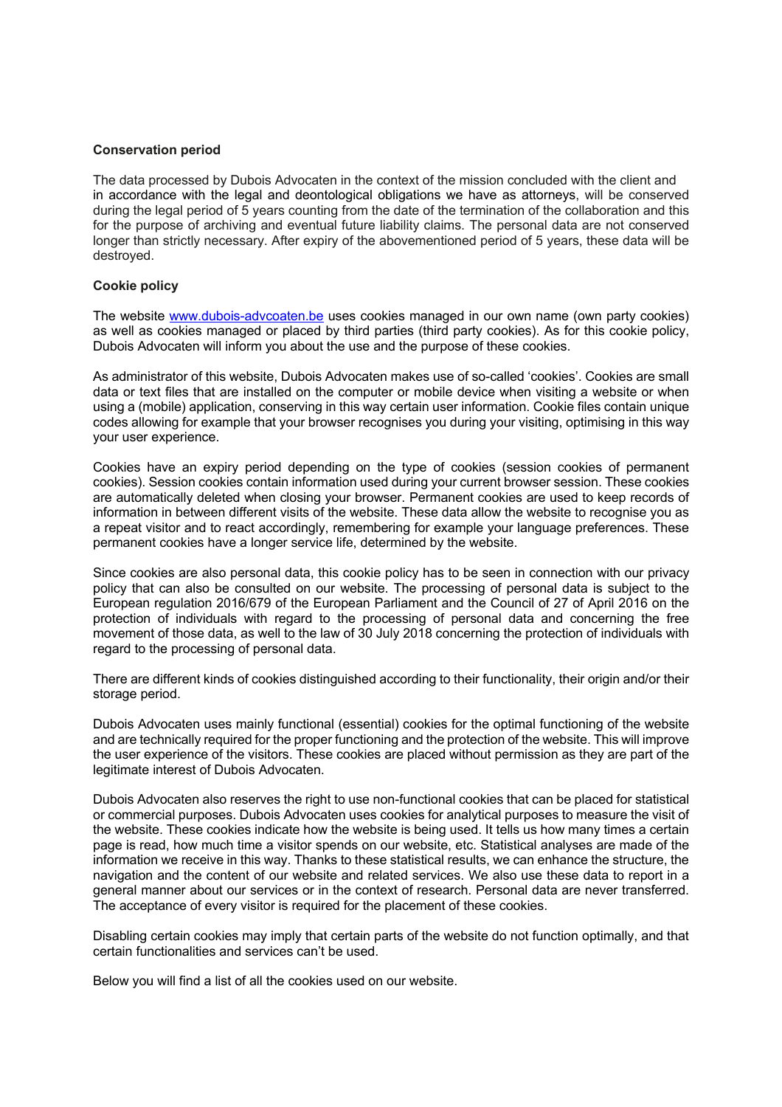#### **Conservation period**

The data processed by Dubois Advocaten in the context of the mission concluded with the client and in accordance with the legal and deontological obligations we have as attorneys, will be conserved during the legal period of 5 years counting from the date of the termination of the collaboration and this for the purpose of archiving and eventual future liability claims. The personal data are not conserved longer than strictly necessary. After expiry of the abovementioned period of 5 years, these data will be destroyed.

## **Cookie policy**

The website www.dubois-advcoaten.be uses cookies managed in our own name (own party cookies) as well as cookies managed or placed by third parties (third party cookies). As for this cookie policy, Dubois Advocaten will inform you about the use and the purpose of these cookies.

As administrator of this website, Dubois Advocaten makes use of so-called 'cookies'. Cookies are small data or text files that are installed on the computer or mobile device when visiting a website or when using a (mobile) application, conserving in this way certain user information. Cookie files contain unique codes allowing for example that your browser recognises you during your visiting, optimising in this way your user experience.

Cookies have an expiry period depending on the type of cookies (session cookies of permanent cookies). Session cookies contain information used during your current browser session. These cookies are automatically deleted when closing your browser. Permanent cookies are used to keep records of information in between different visits of the website. These data allow the website to recognise you as a repeat visitor and to react accordingly, remembering for example your language preferences. These permanent cookies have a longer service life, determined by the website.

Since cookies are also personal data, this cookie policy has to be seen in connection with our privacy policy that can also be consulted on our website. The processing of personal data is subject to the European regulation 2016/679 of the European Parliament and the Council of 27 of April 2016 on the protection of individuals with regard to the processing of personal data and concerning the free movement of those data, as well to the law of 30 July 2018 concerning the protection of individuals with regard to the processing of personal data.

There are different kinds of cookies distinguished according to their functionality, their origin and/or their storage period.

Dubois Advocaten uses mainly functional (essential) cookies for the optimal functioning of the website and are technically required for the proper functioning and the protection of the website. This will improve the user experience of the visitors. These cookies are placed without permission as they are part of the legitimate interest of Dubois Advocaten.

Dubois Advocaten also reserves the right to use non-functional cookies that can be placed for statistical or commercial purposes. Dubois Advocaten uses cookies for analytical purposes to measure the visit of the website. These cookies indicate how the website is being used. It tells us how many times a certain page is read, how much time a visitor spends on our website, etc. Statistical analyses are made of the information we receive in this way. Thanks to these statistical results, we can enhance the structure, the navigation and the content of our website and related services. We also use these data to report in a general manner about our services or in the context of research. Personal data are never transferred. The acceptance of every visitor is required for the placement of these cookies.

Disabling certain cookies may imply that certain parts of the website do not function optimally, and that certain functionalities and services can't be used.

Below you will find a list of all the cookies used on our website.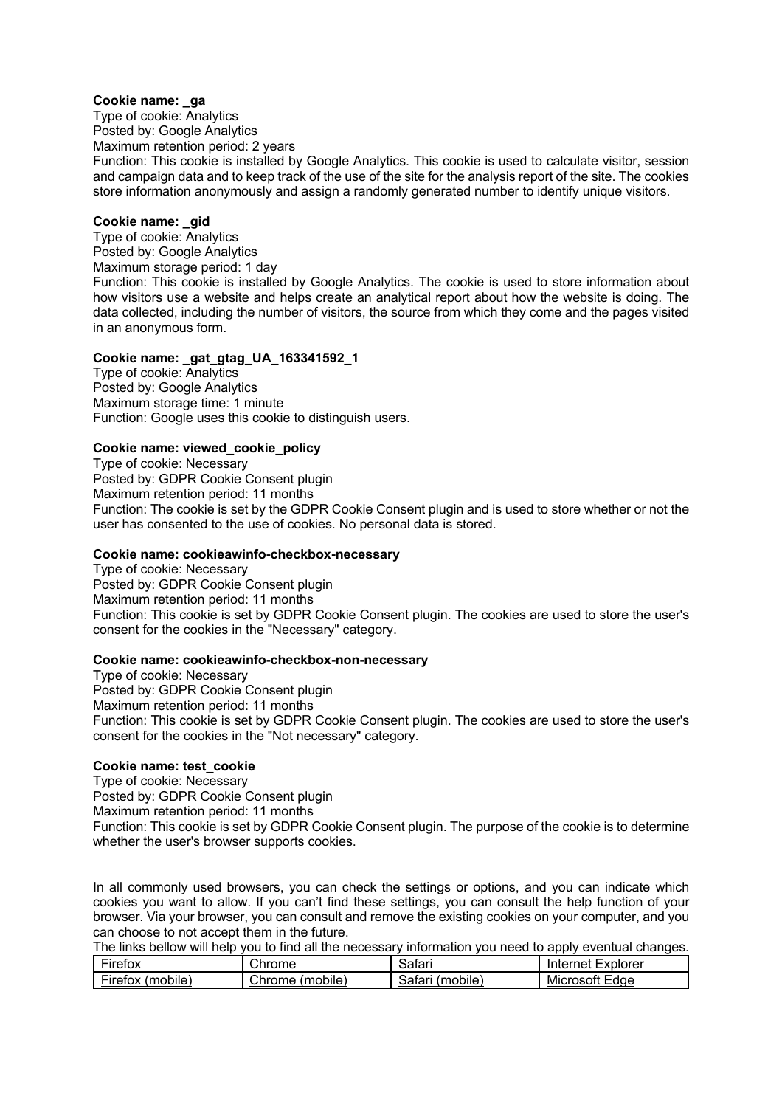## **Cookie name: \_ga**

Type of cookie: Analytics Posted by: Google Analytics Maximum retention period: 2 years Function: This cookie is installed by Google Analytics. This cookie is used to calculate visitor, session and campaign data and to keep track of the use of the site for the analysis report of the site. The cookies store information anonymously and assign a randomly generated number to identify unique visitors.

# **Cookie name: \_gid**

Type of cookie: Analytics Posted by: Google Analytics Maximum storage period: 1 day Function: This cookie is installed by Google Analytics. The cookie is used to store information about how visitors use a website and helps create an analytical report about how the website is doing. The data collected, including the number of visitors, the source from which they come and the pages visited in an anonymous form.

## **Cookie name: \_gat\_gtag\_UA\_163341592\_1**

Type of cookie: Analytics Posted by: Google Analytics Maximum storage time: 1 minute Function: Google uses this cookie to distinguish users.

## **Cookie name: viewed\_cookie\_policy**

Type of cookie: Necessary Posted by: GDPR Cookie Consent plugin Maximum retention period: 11 months Function: The cookie is set by the GDPR Cookie Consent plugin and is used to store whether or not the user has consented to the use of cookies. No personal data is stored.

## **Cookie name: cookieawinfo-checkbox-necessary**

Type of cookie: Necessary Posted by: GDPR Cookie Consent plugin Maximum retention period: 11 months Function: This cookie is set by GDPR Cookie Consent plugin. The cookies are used to store the user's consent for the cookies in the "Necessary" category.

## **Cookie name: cookieawinfo-checkbox-non-necessary**

Type of cookie: Necessary Posted by: GDPR Cookie Consent plugin Maximum retention period: 11 months Function: This cookie is set by GDPR Cookie Consent plugin. The cookies are used to store the user's consent for the cookies in the "Not necessary" category.

# **Cookie name: test\_cookie**

Type of cookie: Necessary Posted by: GDPR Cookie Consent plugin Maximum retention period: 11 months Function: This cookie is set by GDPR Cookie Consent plugin. The purpose of the cookie is to determine whether the user's browser supports cookies.

In all commonly used browsers, you can check the settings or options, and you can indicate which cookies you want to allow. If you can't find these settings, you can consult the help function of your browser. Via your browser, you can consult and remove the existing cookies on your computer, and you can choose to not accept them in the future.

The links bellow will help you to find all the necessary information you need to apply eventual changes.

| $\overline{\phantom{a}}$         | ~'                 | Satar                 | . Explorer                                    |
|----------------------------------|--------------------|-----------------------|-----------------------------------------------|
| <b>Firetox</b>                   | <b>Chrome</b>      |                       | lnternet '                                    |
| $- \cdot$<br>Firefox<br>(mobile) | Chrome<br>(mobile) | .<br>(mobile<br>خatar | Microsoft<br>$\overline{\phantom{0}}$<br>Edge |